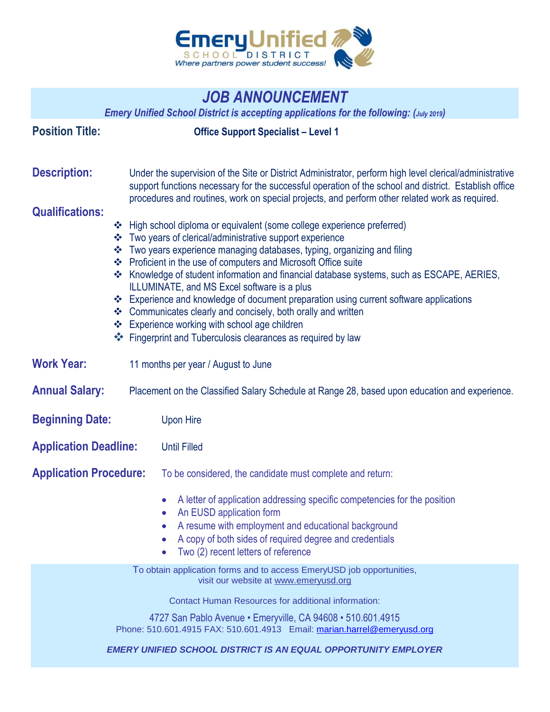

## *JOB ANNOUNCEMENT*

*Emery Unified School District is accepting applications for the following: (July 2019)*

| <b>Position Title:</b>        | <b>Office Support Specialist - Level 1</b>                                                                                                                                                                                                                                                                                                                                                                                                                                                                                                                                                                                                                                                                   |
|-------------------------------|--------------------------------------------------------------------------------------------------------------------------------------------------------------------------------------------------------------------------------------------------------------------------------------------------------------------------------------------------------------------------------------------------------------------------------------------------------------------------------------------------------------------------------------------------------------------------------------------------------------------------------------------------------------------------------------------------------------|
| <b>Description:</b>           | Under the supervision of the Site or District Administrator, perform high level clerical/administrative<br>support functions necessary for the successful operation of the school and district. Establish office<br>procedures and routines, work on special projects, and perform other related work as required.                                                                                                                                                                                                                                                                                                                                                                                           |
| <b>Qualifications:</b>        | ❖ High school diploma or equivalent (some college experience preferred)<br>❖ Two years of clerical/administrative support experience<br>❖ Two years experience managing databases, typing, organizing and filing<br>❖ Proficient in the use of computers and Microsoft Office suite<br>❖ Knowledge of student information and financial database systems, such as ESCAPE, AERIES,<br>ILLUMINATE, and MS Excel software is a plus<br>❖ Experience and knowledge of document preparation using current software applications<br>❖ Communicates clearly and concisely, both orally and written<br>❖ Experience working with school age children<br>❖ Fingerprint and Tuberculosis clearances as required by law |
| <b>Work Year:</b>             | 11 months per year / August to June                                                                                                                                                                                                                                                                                                                                                                                                                                                                                                                                                                                                                                                                          |
| <b>Annual Salary:</b>         | Placement on the Classified Salary Schedule at Range 28, based upon education and experience.                                                                                                                                                                                                                                                                                                                                                                                                                                                                                                                                                                                                                |
| <b>Beginning Date:</b>        | <b>Upon Hire</b>                                                                                                                                                                                                                                                                                                                                                                                                                                                                                                                                                                                                                                                                                             |
| <b>Application Deadline:</b>  | <b>Until Filled</b>                                                                                                                                                                                                                                                                                                                                                                                                                                                                                                                                                                                                                                                                                          |
| <b>Application Procedure:</b> | To be considered, the candidate must complete and return:                                                                                                                                                                                                                                                                                                                                                                                                                                                                                                                                                                                                                                                    |
|                               | A letter of application addressing specific competencies for the position<br>An EUSD application form<br>A resume with employment and educational background<br>A copy of both sides of required degree and credentials<br>Two (2) recent letters of reference<br>$\bullet$                                                                                                                                                                                                                                                                                                                                                                                                                                  |
|                               | To obtain application forms and to access EmeryUSD job opportunities,<br>visit our website at www.emeryusd.org                                                                                                                                                                                                                                                                                                                                                                                                                                                                                                                                                                                               |
|                               | <b>Contact Human Resources for additional information:</b><br>4727 San Pablo Avenue • Emeryville, CA 94608 • 510.601.4915<br>Phone: 510.601.4915 FAX: 510.601.4913 Email: marian.harrel@emeryusd.org<br><b>EMERY UNIFIED SCHOOL DISTRICT IS AN EQUAL OPPORTUNITY EMPLOYER</b>                                                                                                                                                                                                                                                                                                                                                                                                                                |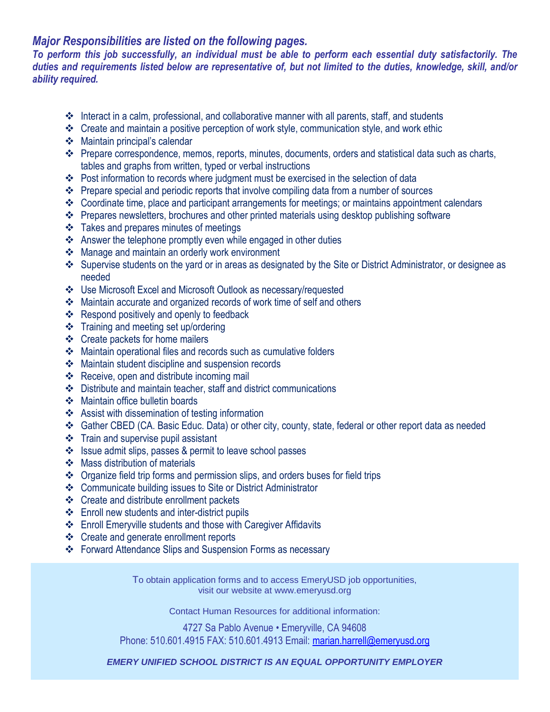## *Major Responsibilities are listed on the following pages.*

*To perform this job successfully, an individual must be able to perform each essential duty satisfactorily. The duties and requirements listed below are representative of, but not limited to the duties, knowledge, skill, and/or ability required.*

- Interact in a calm, professional, and collaborative manner with all parents, staff, and students
- \* Create and maintain a positive perception of work style, communication style, and work ethic
- Maintain principal's calendar
- Prepare correspondence, memos, reports, minutes, documents, orders and statistical data such as charts, tables and graphs from written, typed or verbal instructions
- \* Post information to records where judgment must be exercised in the selection of data
- Prepare special and periodic reports that involve compiling data from a number of sources
- Coordinate time, place and participant arrangements for meetings; or maintains appointment calendars
- Prepares newsletters, brochures and other printed materials using desktop publishing software
- Takes and prepares minutes of meetings
- Answer the telephone promptly even while engaged in other duties
- Manage and maintain an orderly work environment
- Supervise students on the yard or in areas as designated by the Site or District Administrator, or designee as needed
- Use Microsoft Excel and Microsoft Outlook as necessary/requested
- Maintain accurate and organized records of work time of self and others
- ❖ Respond positively and openly to feedback
- Training and meeting set up/ordering
- Create packets for home mailers
- Maintain operational files and records such as cumulative folders
- Maintain student discipline and suspension records
- ❖ Receive, open and distribute incoming mail
- Distribute and maintain teacher, staff and district communications
- ❖ Maintain office bulletin boards
- Assist with dissemination of testing information
- Gather CBED (CA. Basic Educ. Data) or other city, county, state, federal or other report data as needed
- $\div$  Train and supervise pupil assistant
- ❖ Issue admit slips, passes & permit to leave school passes
- Mass distribution of materials
- Organize field trip forms and permission slips, and orders buses for field trips
- Communicate building issues to Site or District Administrator
- ❖ Create and distribute enrollment packets
- Enroll new students and inter-district pupils
- Enroll Emeryville students and those with Caregiver Affidavits
- Create and generate enrollment reports
- Forward Attendance Slips and Suspension Forms as necessary

To obtain application forms and to access EmeryUSD job opportunities, visit our website at [www.emeryusd.org](http://www.emeryusd.org/)

Contact Human Resources for additional information:

4727 Sa Pablo Avenue • Emeryville, CA 94608 Phone: 510.601.4915 FAX: 510.601.4913 Email: [marian.harrell@emeryusd.org](mailto:marian.harrel@emeryusd.org)

*EMERY UNIFIED SCHOOL DISTRICT IS AN EQUAL OPPORTUNITY EMPLOYER*